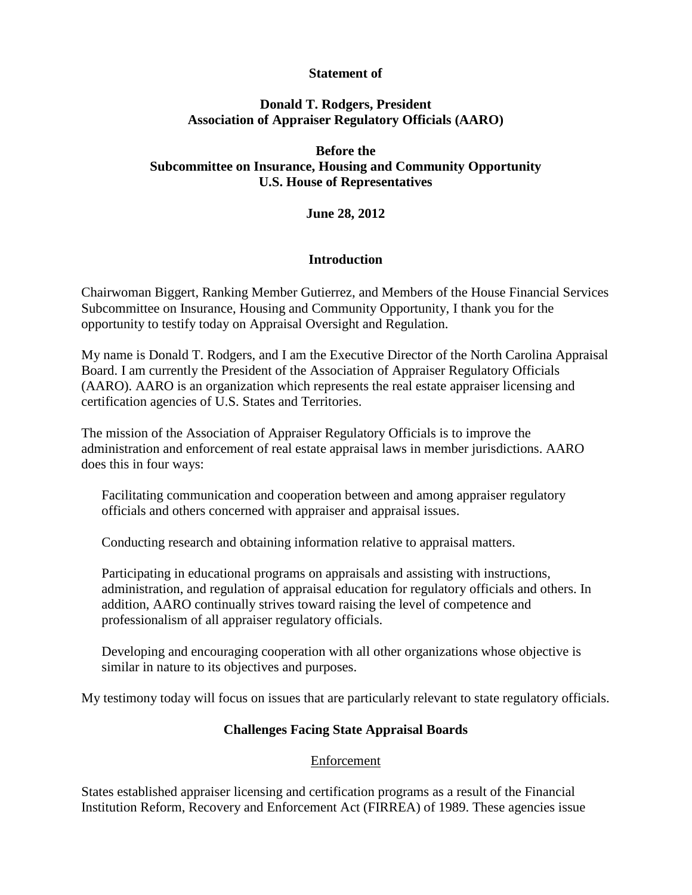## **Statement of**

# **Donald T. Rodgers, President Association of Appraiser Regulatory Officials (AARO)**

# **Before the Subcommittee on Insurance, Housing and Community Opportunity U.S. House of Representatives**

# **June 28, 2012**

## **Introduction**

Chairwoman Biggert, Ranking Member Gutierrez, and Members of the House Financial Services Subcommittee on Insurance, Housing and Community Opportunity, I thank you for the opportunity to testify today on Appraisal Oversight and Regulation.

My name is Donald T. Rodgers, and I am the Executive Director of the North Carolina Appraisal Board. I am currently the President of the Association of Appraiser Regulatory Officials (AARO). AARO is an organization which represents the real estate appraiser licensing and certification agencies of U.S. States and Territories.

The mission of the Association of Appraiser Regulatory Officials is to improve the administration and enforcement of real estate appraisal laws in member jurisdictions. AARO does this in four ways:

Facilitating communication and cooperation between and among appraiser regulatory officials and others concerned with appraiser and appraisal issues.

Conducting research and obtaining information relative to appraisal matters.

Participating in educational programs on appraisals and assisting with instructions, administration, and regulation of appraisal education for regulatory officials and others. In addition, AARO continually strives toward raising the level of competence and professionalism of all appraiser regulatory officials.

Developing and encouraging cooperation with all other organizations whose objective is similar in nature to its objectives and purposes.

My testimony today will focus on issues that are particularly relevant to state regulatory officials.

#### **Challenges Facing State Appraisal Boards**

#### Enforcement

States established appraiser licensing and certification programs as a result of the Financial Institution Reform, Recovery and Enforcement Act (FIRREA) of 1989. These agencies issue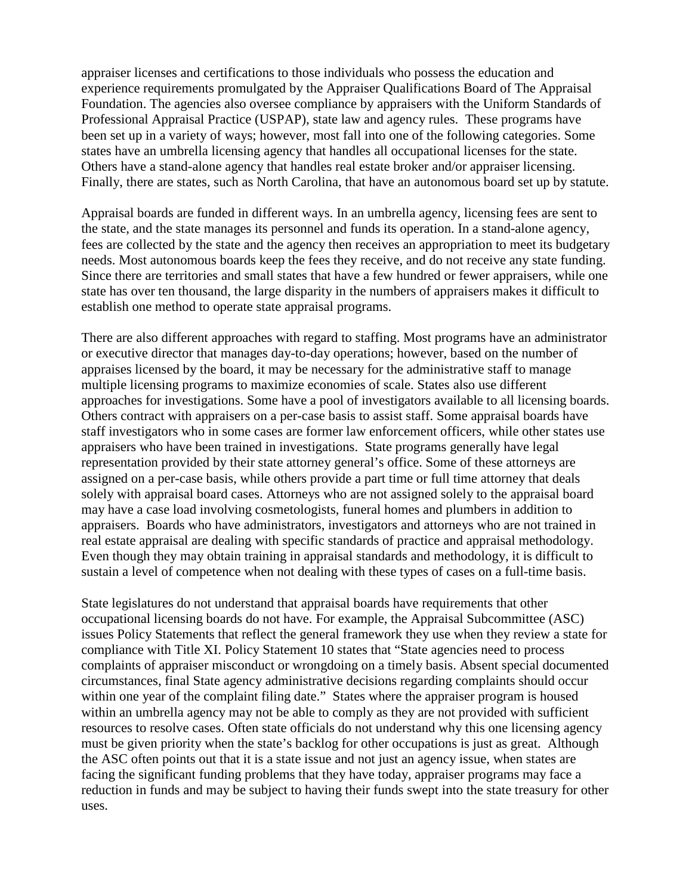appraiser licenses and certifications to those individuals who possess the education and experience requirements promulgated by the Appraiser Qualifications Board of The Appraisal Foundation. The agencies also oversee compliance by appraisers with the Uniform Standards of Professional Appraisal Practice (USPAP), state law and agency rules. These programs have been set up in a variety of ways; however, most fall into one of the following categories. Some states have an umbrella licensing agency that handles all occupational licenses for the state. Others have a stand-alone agency that handles real estate broker and/or appraiser licensing. Finally, there are states, such as North Carolina, that have an autonomous board set up by statute.

Appraisal boards are funded in different ways. In an umbrella agency, licensing fees are sent to the state, and the state manages its personnel and funds its operation. In a stand-alone agency, fees are collected by the state and the agency then receives an appropriation to meet its budgetary needs. Most autonomous boards keep the fees they receive, and do not receive any state funding. Since there are territories and small states that have a few hundred or fewer appraisers, while one state has over ten thousand, the large disparity in the numbers of appraisers makes it difficult to establish one method to operate state appraisal programs.

There are also different approaches with regard to staffing. Most programs have an administrator or executive director that manages day-to-day operations; however, based on the number of appraises licensed by the board, it may be necessary for the administrative staff to manage multiple licensing programs to maximize economies of scale. States also use different approaches for investigations. Some have a pool of investigators available to all licensing boards. Others contract with appraisers on a per-case basis to assist staff. Some appraisal boards have staff investigators who in some cases are former law enforcement officers, while other states use appraisers who have been trained in investigations. State programs generally have legal representation provided by their state attorney general's office. Some of these attorneys are assigned on a per-case basis, while others provide a part time or full time attorney that deals solely with appraisal board cases. Attorneys who are not assigned solely to the appraisal board may have a case load involving cosmetologists, funeral homes and plumbers in addition to appraisers. Boards who have administrators, investigators and attorneys who are not trained in real estate appraisal are dealing with specific standards of practice and appraisal methodology. Even though they may obtain training in appraisal standards and methodology, it is difficult to sustain a level of competence when not dealing with these types of cases on a full-time basis.

State legislatures do not understand that appraisal boards have requirements that other occupational licensing boards do not have. For example, the Appraisal Subcommittee (ASC) issues Policy Statements that reflect the general framework they use when they review a state for compliance with Title XI. Policy Statement 10 states that "State agencies need to process complaints of appraiser misconduct or wrongdoing on a timely basis. Absent special documented circumstances, final State agency administrative decisions regarding complaints should occur within one year of the complaint filing date." States where the appraiser program is housed within an umbrella agency may not be able to comply as they are not provided with sufficient resources to resolve cases. Often state officials do not understand why this one licensing agency must be given priority when the state's backlog for other occupations is just as great. Although the ASC often points out that it is a state issue and not just an agency issue, when states are facing the significant funding problems that they have today, appraiser programs may face a reduction in funds and may be subject to having their funds swept into the state treasury for other uses.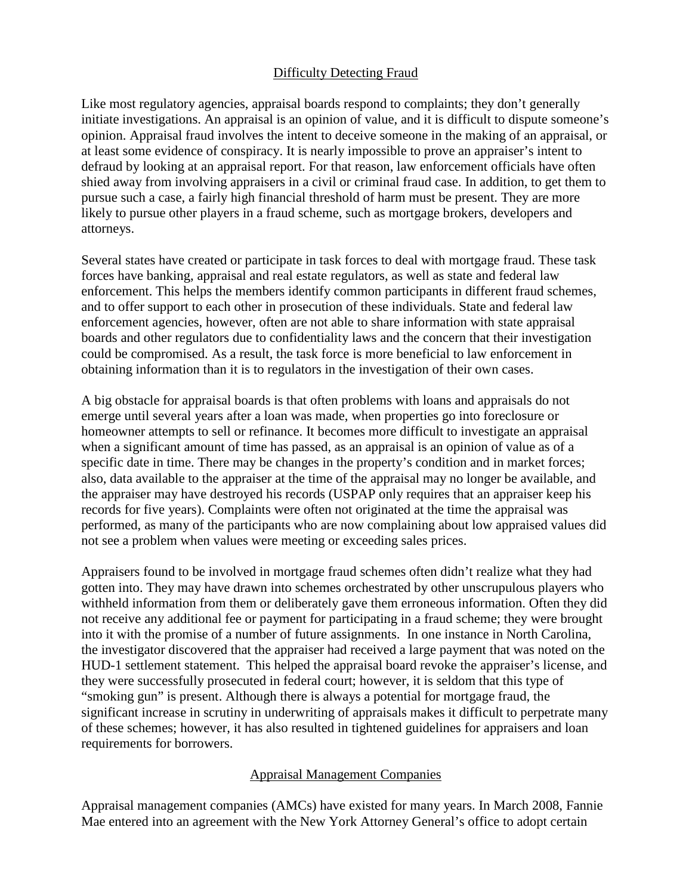## Difficulty Detecting Fraud

Like most regulatory agencies, appraisal boards respond to complaints; they don't generally initiate investigations. An appraisal is an opinion of value, and it is difficult to dispute someone's opinion. Appraisal fraud involves the intent to deceive someone in the making of an appraisal, or at least some evidence of conspiracy. It is nearly impossible to prove an appraiser's intent to defraud by looking at an appraisal report. For that reason, law enforcement officials have often shied away from involving appraisers in a civil or criminal fraud case. In addition, to get them to pursue such a case, a fairly high financial threshold of harm must be present. They are more likely to pursue other players in a fraud scheme, such as mortgage brokers, developers and attorneys.

Several states have created or participate in task forces to deal with mortgage fraud. These task forces have banking, appraisal and real estate regulators, as well as state and federal law enforcement. This helps the members identify common participants in different fraud schemes, and to offer support to each other in prosecution of these individuals. State and federal law enforcement agencies, however, often are not able to share information with state appraisal boards and other regulators due to confidentiality laws and the concern that their investigation could be compromised. As a result, the task force is more beneficial to law enforcement in obtaining information than it is to regulators in the investigation of their own cases.

A big obstacle for appraisal boards is that often problems with loans and appraisals do not emerge until several years after a loan was made, when properties go into foreclosure or homeowner attempts to sell or refinance. It becomes more difficult to investigate an appraisal when a significant amount of time has passed, as an appraisal is an opinion of value as of a specific date in time. There may be changes in the property's condition and in market forces; also, data available to the appraiser at the time of the appraisal may no longer be available, and the appraiser may have destroyed his records (USPAP only requires that an appraiser keep his records for five years). Complaints were often not originated at the time the appraisal was performed, as many of the participants who are now complaining about low appraised values did not see a problem when values were meeting or exceeding sales prices.

Appraisers found to be involved in mortgage fraud schemes often didn't realize what they had gotten into. They may have drawn into schemes orchestrated by other unscrupulous players who withheld information from them or deliberately gave them erroneous information. Often they did not receive any additional fee or payment for participating in a fraud scheme; they were brought into it with the promise of a number of future assignments. In one instance in North Carolina, the investigator discovered that the appraiser had received a large payment that was noted on the HUD-1 settlement statement. This helped the appraisal board revoke the appraiser's license, and they were successfully prosecuted in federal court; however, it is seldom that this type of "smoking gun" is present. Although there is always a potential for mortgage fraud, the significant increase in scrutiny in underwriting of appraisals makes it difficult to perpetrate many of these schemes; however, it has also resulted in tightened guidelines for appraisers and loan requirements for borrowers.

#### Appraisal Management Companies

Appraisal management companies (AMCs) have existed for many years. In March 2008, Fannie Mae entered into an agreement with the New York Attorney General's office to adopt certain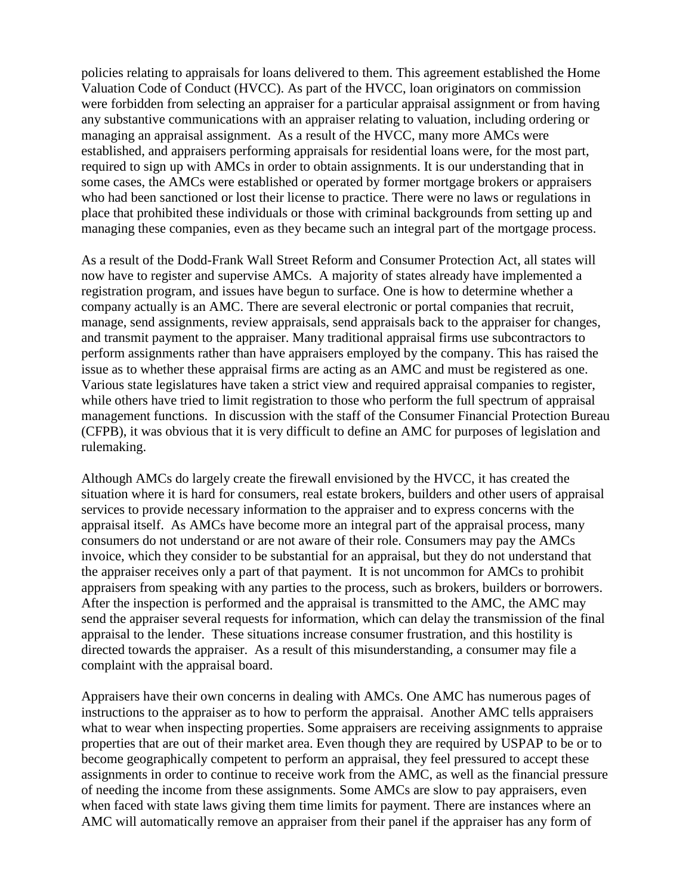policies relating to appraisals for loans delivered to them. This agreement established the Home Valuation Code of Conduct (HVCC). As part of the HVCC, loan originators on commission were forbidden from selecting an appraiser for a particular appraisal assignment or from having any substantive communications with an appraiser relating to valuation, including ordering or managing an appraisal assignment. As a result of the HVCC, many more AMCs were established, and appraisers performing appraisals for residential loans were, for the most part, required to sign up with AMCs in order to obtain assignments. It is our understanding that in some cases, the AMCs were established or operated by former mortgage brokers or appraisers who had been sanctioned or lost their license to practice. There were no laws or regulations in place that prohibited these individuals or those with criminal backgrounds from setting up and managing these companies, even as they became such an integral part of the mortgage process.

As a result of the Dodd-Frank Wall Street Reform and Consumer Protection Act, all states will now have to register and supervise AMCs. A majority of states already have implemented a registration program, and issues have begun to surface. One is how to determine whether a company actually is an AMC. There are several electronic or portal companies that recruit, manage, send assignments, review appraisals, send appraisals back to the appraiser for changes, and transmit payment to the appraiser. Many traditional appraisal firms use subcontractors to perform assignments rather than have appraisers employed by the company. This has raised the issue as to whether these appraisal firms are acting as an AMC and must be registered as one. Various state legislatures have taken a strict view and required appraisal companies to register, while others have tried to limit registration to those who perform the full spectrum of appraisal management functions. In discussion with the staff of the Consumer Financial Protection Bureau (CFPB), it was obvious that it is very difficult to define an AMC for purposes of legislation and rulemaking.

Although AMCs do largely create the firewall envisioned by the HVCC, it has created the situation where it is hard for consumers, real estate brokers, builders and other users of appraisal services to provide necessary information to the appraiser and to express concerns with the appraisal itself. As AMCs have become more an integral part of the appraisal process, many consumers do not understand or are not aware of their role. Consumers may pay the AMCs invoice, which they consider to be substantial for an appraisal, but they do not understand that the appraiser receives only a part of that payment. It is not uncommon for AMCs to prohibit appraisers from speaking with any parties to the process, such as brokers, builders or borrowers. After the inspection is performed and the appraisal is transmitted to the AMC, the AMC may send the appraiser several requests for information, which can delay the transmission of the final appraisal to the lender. These situations increase consumer frustration, and this hostility is directed towards the appraiser. As a result of this misunderstanding, a consumer may file a complaint with the appraisal board.

Appraisers have their own concerns in dealing with AMCs. One AMC has numerous pages of instructions to the appraiser as to how to perform the appraisal. Another AMC tells appraisers what to wear when inspecting properties. Some appraisers are receiving assignments to appraise properties that are out of their market area. Even though they are required by USPAP to be or to become geographically competent to perform an appraisal, they feel pressured to accept these assignments in order to continue to receive work from the AMC, as well as the financial pressure of needing the income from these assignments. Some AMCs are slow to pay appraisers, even when faced with state laws giving them time limits for payment. There are instances where an AMC will automatically remove an appraiser from their panel if the appraiser has any form of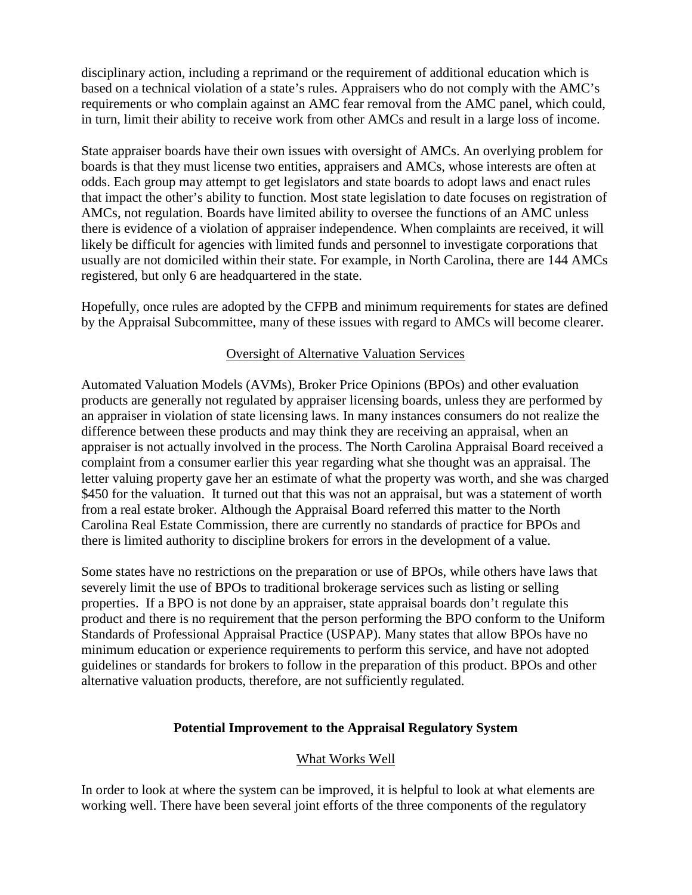disciplinary action, including a reprimand or the requirement of additional education which is based on a technical violation of a state's rules. Appraisers who do not comply with the AMC's requirements or who complain against an AMC fear removal from the AMC panel, which could, in turn, limit their ability to receive work from other AMCs and result in a large loss of income.

State appraiser boards have their own issues with oversight of AMCs. An overlying problem for boards is that they must license two entities, appraisers and AMCs, whose interests are often at odds. Each group may attempt to get legislators and state boards to adopt laws and enact rules that impact the other's ability to function. Most state legislation to date focuses on registration of AMCs, not regulation. Boards have limited ability to oversee the functions of an AMC unless there is evidence of a violation of appraiser independence. When complaints are received, it will likely be difficult for agencies with limited funds and personnel to investigate corporations that usually are not domiciled within their state. For example, in North Carolina, there are 144 AMCs registered, but only 6 are headquartered in the state.

Hopefully, once rules are adopted by the CFPB and minimum requirements for states are defined by the Appraisal Subcommittee, many of these issues with regard to AMCs will become clearer.

## Oversight of Alternative Valuation Services

Automated Valuation Models (AVMs), Broker Price Opinions (BPOs) and other evaluation products are generally not regulated by appraiser licensing boards, unless they are performed by an appraiser in violation of state licensing laws. In many instances consumers do not realize the difference between these products and may think they are receiving an appraisal, when an appraiser is not actually involved in the process. The North Carolina Appraisal Board received a complaint from a consumer earlier this year regarding what she thought was an appraisal. The letter valuing property gave her an estimate of what the property was worth, and she was charged \$450 for the valuation. It turned out that this was not an appraisal, but was a statement of worth from a real estate broker. Although the Appraisal Board referred this matter to the North Carolina Real Estate Commission, there are currently no standards of practice for BPOs and there is limited authority to discipline brokers for errors in the development of a value.

Some states have no restrictions on the preparation or use of BPOs, while others have laws that severely limit the use of BPOs to traditional brokerage services such as listing or selling properties. If a BPO is not done by an appraiser, state appraisal boards don't regulate this product and there is no requirement that the person performing the BPO conform to the Uniform Standards of Professional Appraisal Practice (USPAP). Many states that allow BPOs have no minimum education or experience requirements to perform this service, and have not adopted guidelines or standards for brokers to follow in the preparation of this product. BPOs and other alternative valuation products, therefore, are not sufficiently regulated.

#### **Potential Improvement to the Appraisal Regulatory System**

# What Works Well

In order to look at where the system can be improved, it is helpful to look at what elements are working well. There have been several joint efforts of the three components of the regulatory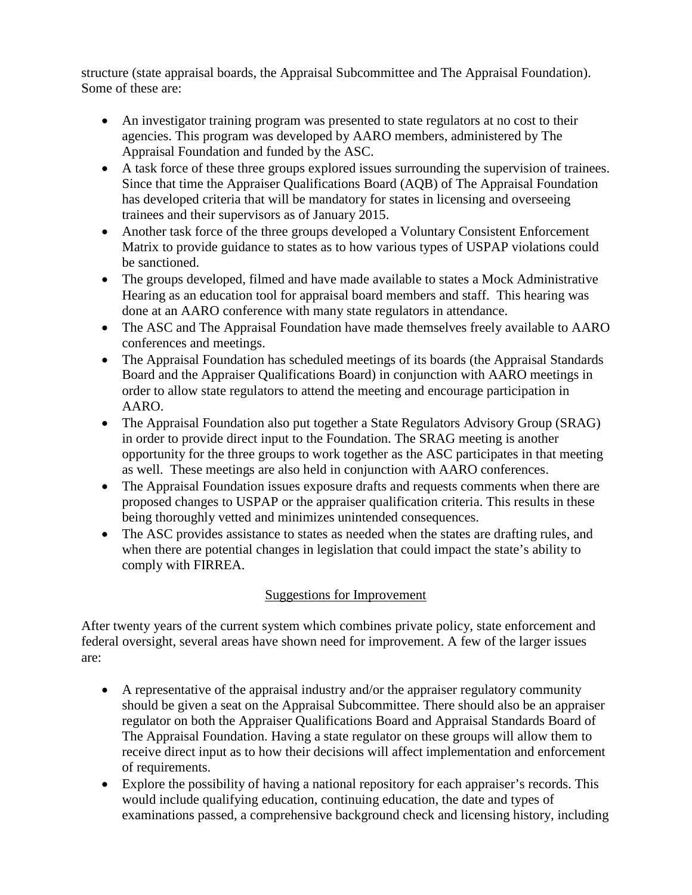structure (state appraisal boards, the Appraisal Subcommittee and The Appraisal Foundation). Some of these are:

- An investigator training program was presented to state regulators at no cost to their agencies. This program was developed by AARO members, administered by The Appraisal Foundation and funded by the ASC.
- A task force of these three groups explored issues surrounding the supervision of trainees. Since that time the Appraiser Qualifications Board (AQB) of The Appraisal Foundation has developed criteria that will be mandatory for states in licensing and overseeing trainees and their supervisors as of January 2015.
- Another task force of the three groups developed a Voluntary Consistent Enforcement Matrix to provide guidance to states as to how various types of USPAP violations could be sanctioned.
- The groups developed, filmed and have made available to states a Mock Administrative Hearing as an education tool for appraisal board members and staff. This hearing was done at an AARO conference with many state regulators in attendance.
- The ASC and The Appraisal Foundation have made themselves freely available to AARO conferences and meetings.
- The Appraisal Foundation has scheduled meetings of its boards (the Appraisal Standards) Board and the Appraiser Qualifications Board) in conjunction with AARO meetings in order to allow state regulators to attend the meeting and encourage participation in AARO.
- The Appraisal Foundation also put together a State Regulators Advisory Group (SRAG) in order to provide direct input to the Foundation. The SRAG meeting is another opportunity for the three groups to work together as the ASC participates in that meeting as well. These meetings are also held in conjunction with AARO conferences.
- The Appraisal Foundation issues exposure drafts and requests comments when there are proposed changes to USPAP or the appraiser qualification criteria. This results in these being thoroughly vetted and minimizes unintended consequences.
- The ASC provides assistance to states as needed when the states are drafting rules, and when there are potential changes in legislation that could impact the state's ability to comply with FIRREA.

# Suggestions for Improvement

After twenty years of the current system which combines private policy, state enforcement and federal oversight, several areas have shown need for improvement. A few of the larger issues are:

- A representative of the appraisal industry and/or the appraiser regulatory community should be given a seat on the Appraisal Subcommittee. There should also be an appraiser regulator on both the Appraiser Qualifications Board and Appraisal Standards Board of The Appraisal Foundation. Having a state regulator on these groups will allow them to receive direct input as to how their decisions will affect implementation and enforcement of requirements.
- Explore the possibility of having a national repository for each appraiser's records. This would include qualifying education, continuing education, the date and types of examinations passed, a comprehensive background check and licensing history, including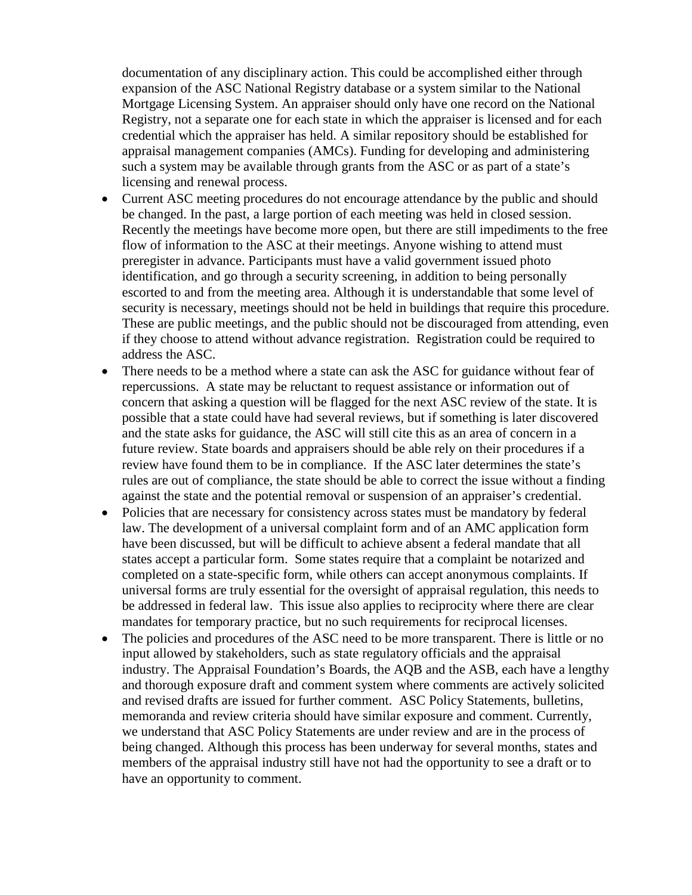documentation of any disciplinary action. This could be accomplished either through expansion of the ASC National Registry database or a system similar to the National Mortgage Licensing System. An appraiser should only have one record on the National Registry, not a separate one for each state in which the appraiser is licensed and for each credential which the appraiser has held. A similar repository should be established for appraisal management companies (AMCs). Funding for developing and administering such a system may be available through grants from the ASC or as part of a state's licensing and renewal process.

- Current ASC meeting procedures do not encourage attendance by the public and should be changed. In the past, a large portion of each meeting was held in closed session. Recently the meetings have become more open, but there are still impediments to the free flow of information to the ASC at their meetings. Anyone wishing to attend must preregister in advance. Participants must have a valid government issued photo identification, and go through a security screening, in addition to being personally escorted to and from the meeting area. Although it is understandable that some level of security is necessary, meetings should not be held in buildings that require this procedure. These are public meetings, and the public should not be discouraged from attending, even if they choose to attend without advance registration. Registration could be required to address the ASC.
- There needs to be a method where a state can ask the ASC for guidance without fear of repercussions. A state may be reluctant to request assistance or information out of concern that asking a question will be flagged for the next ASC review of the state. It is possible that a state could have had several reviews, but if something is later discovered and the state asks for guidance, the ASC will still cite this as an area of concern in a future review. State boards and appraisers should be able rely on their procedures if a review have found them to be in compliance. If the ASC later determines the state's rules are out of compliance, the state should be able to correct the issue without a finding against the state and the potential removal or suspension of an appraiser's credential.
- Policies that are necessary for consistency across states must be mandatory by federal law. The development of a universal complaint form and of an AMC application form have been discussed, but will be difficult to achieve absent a federal mandate that all states accept a particular form. Some states require that a complaint be notarized and completed on a state-specific form, while others can accept anonymous complaints. If universal forms are truly essential for the oversight of appraisal regulation, this needs to be addressed in federal law. This issue also applies to reciprocity where there are clear mandates for temporary practice, but no such requirements for reciprocal licenses.
- The policies and procedures of the ASC need to be more transparent. There is little or no input allowed by stakeholders, such as state regulatory officials and the appraisal industry. The Appraisal Foundation's Boards, the AQB and the ASB, each have a lengthy and thorough exposure draft and comment system where comments are actively solicited and revised drafts are issued for further comment. ASC Policy Statements, bulletins, memoranda and review criteria should have similar exposure and comment. Currently, we understand that ASC Policy Statements are under review and are in the process of being changed. Although this process has been underway for several months, states and members of the appraisal industry still have not had the opportunity to see a draft or to have an opportunity to comment.